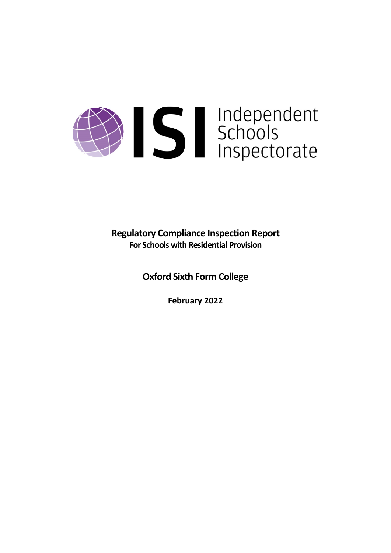# Sandependent<br>Schools<br>Inspectorate

**Regulatory Compliance Inspection Report For Schools with Residential Provision**

**Oxford Sixth Form College**

**February 2022**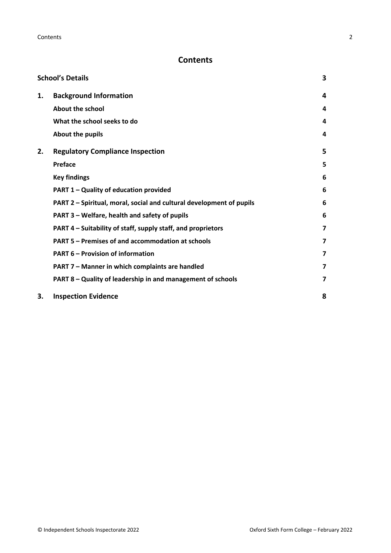# **Contents**

|    | <b>School's Details</b>                                              | 3 |
|----|----------------------------------------------------------------------|---|
| 1. | <b>Background Information</b>                                        | 4 |
|    | <b>About the school</b>                                              | 4 |
|    | What the school seeks to do                                          | 4 |
|    | About the pupils                                                     | 4 |
| 2. | <b>Regulatory Compliance Inspection</b>                              | 5 |
|    | <b>Preface</b>                                                       | 5 |
|    | <b>Key findings</b>                                                  | 6 |
|    | PART 1 - Quality of education provided                               | 6 |
|    | PART 2 - Spiritual, moral, social and cultural development of pupils | 6 |
|    | PART 3 - Welfare, health and safety of pupils                        | 6 |
|    | PART 4 – Suitability of staff, supply staff, and proprietors         | 7 |
|    | PART 5 - Premises of and accommodation at schools                    | 7 |
|    | <b>PART 6 - Provision of information</b>                             | 7 |
|    | PART 7 - Manner in which complaints are handled                      | 7 |
|    | PART 8 - Quality of leadership in and management of schools          | 7 |
| 3. | <b>Inspection Evidence</b>                                           | 8 |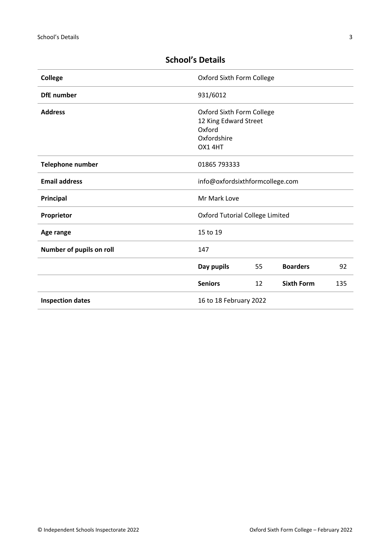| <b>College</b>                                    | Oxford Sixth Form College                                                             |    |                   |     |
|---------------------------------------------------|---------------------------------------------------------------------------------------|----|-------------------|-----|
| <b>DfE</b> number                                 | 931/6012                                                                              |    |                   |     |
| <b>Address</b>                                    | Oxford Sixth Form College<br>12 King Edward Street<br>Oxford<br>Oxfordshire<br>OX14HT |    |                   |     |
| <b>Telephone number</b>                           | 01865 793333                                                                          |    |                   |     |
| <b>Email address</b>                              | info@oxfordsixthformcollege.com                                                       |    |                   |     |
| Principal                                         | Mr Mark Love                                                                          |    |                   |     |
| Proprietor                                        | <b>Oxford Tutorial College Limited</b>                                                |    |                   |     |
| Age range                                         | 15 to 19                                                                              |    |                   |     |
| Number of pupils on roll                          | 147                                                                                   |    |                   |     |
|                                                   | Day pupils                                                                            | 55 | <b>Boarders</b>   | 92  |
|                                                   | <b>Seniors</b>                                                                        | 12 | <b>Sixth Form</b> | 135 |
| <b>Inspection dates</b><br>16 to 18 February 2022 |                                                                                       |    |                   |     |

# <span id="page-2-0"></span>**School's Details**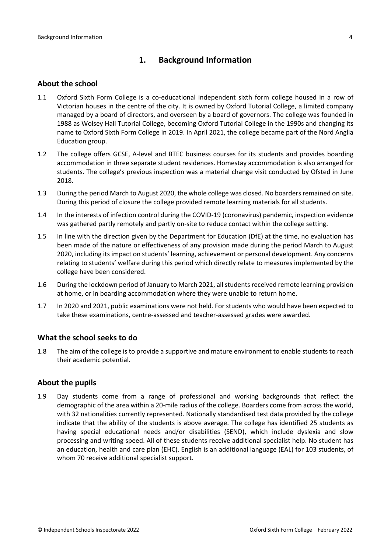# <span id="page-3-0"></span>**1. Background Information**

#### <span id="page-3-1"></span>**About the school**

- 1.1 Oxford Sixth Form College is a co-educational independent sixth form college housed in a row of Victorian houses in the centre of the city. It is owned by Oxford Tutorial College, a limited company managed by a board of directors, and overseen by a board of governors. The college was founded in 1988 as Wolsey Hall Tutorial College, becoming Oxford Tutorial College in the 1990s and changing its name to Oxford Sixth Form College in 2019. In April 2021, the college became part of the Nord Anglia Education group.
- 1.2 The college offers GCSE, A-level and BTEC business courses for its students and provides boarding accommodation in three separate student residences. Homestay accommodation is also arranged for students. The college's previous inspection was a material change visit conducted by Ofsted in June 2018.
- 1.3 During the period March to August 2020, the whole college was closed. No boardersremained on site. During this period of closure the college provided remote learning materials for all students.
- 1.4 In the interests of infection control during the COVID-19 (coronavirus) pandemic, inspection evidence was gathered partly remotely and partly on-site to reduce contact within the college setting.
- 1.5 In line with the direction given by the Department for Education (DfE) at the time, no evaluation has been made of the nature or effectiveness of any provision made during the period March to August 2020, including its impact on students' learning, achievement or personal development. Any concerns relating to students' welfare during this period which directly relate to measures implemented by the college have been considered.
- 1.6 During the lockdown period of January to March 2021, all students received remote learning provision at home, or in boarding accommodation where they were unable to return home.
- 1.7 In 2020 and 2021, public examinations were not held. For students who would have been expected to take these examinations, centre-assessed and teacher-assessed grades were awarded.

#### <span id="page-3-2"></span>**What the school seeks to do**

1.8 The aim of the college is to provide a supportive and mature environment to enable students to reach their academic potential.

#### <span id="page-3-3"></span>**About the pupils**

1.9 Day students come from a range of professional and working backgrounds that reflect the demographic of the area within a 20-mile radius of the college. Boarders come from across the world, with 32 nationalities currently represented. Nationally standardised test data provided by the college indicate that the ability of the students is above average. The college has identified 25 students as having special educational needs and/or disabilities (SEND), which include dyslexia and slow processing and writing speed. All of these students receive additional specialist help. No student has an education, health and care plan (EHC). English is an additional language (EAL) for 103 students, of whom 70 receive additional specialist support.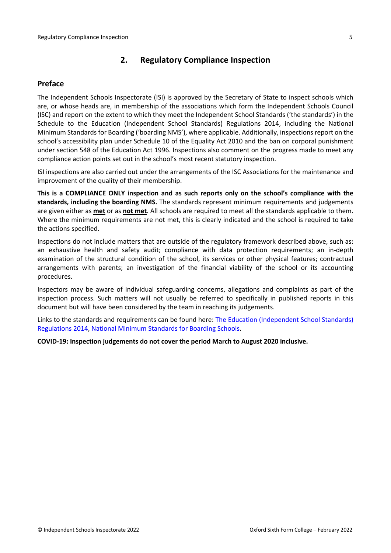# <span id="page-4-0"></span>**2. Regulatory Compliance Inspection**

#### <span id="page-4-1"></span>**Preface**

The Independent Schools Inspectorate (ISI) is approved by the Secretary of State to inspect schools which are, or whose heads are, in membership of the associations which form the Independent Schools Council (ISC) and report on the extent to which they meet the Independent School Standards ('the standards') in the Schedule to the Education (Independent School Standards) Regulations 2014, including the National Minimum Standards for Boarding ('boarding NMS'), where applicable. Additionally, inspections report on the school's accessibility plan under Schedule 10 of the Equality Act 2010 and the ban on corporal punishment under section 548 of the Education Act 1996. Inspections also comment on the progress made to meet any compliance action points set out in the school's most recent statutory inspection.

ISI inspections are also carried out under the arrangements of the ISC Associations for the maintenance and improvement of the quality of their membership.

**This is a COMPLIANCE ONLY inspection and as such reports only on the school's compliance with the standards, including the boarding NMS.** The standards represent minimum requirements and judgements are given either as **met** or as **not met**. All schools are required to meet all the standards applicable to them. Where the minimum requirements are not met, this is clearly indicated and the school is required to take the actions specified.

Inspections do not include matters that are outside of the regulatory framework described above, such as: an exhaustive health and safety audit; compliance with data protection requirements; an in-depth examination of the structural condition of the school, its services or other physical features; contractual arrangements with parents; an investigation of the financial viability of the school or its accounting procedures.

Inspectors may be aware of individual safeguarding concerns, allegations and complaints as part of the inspection process. Such matters will not usually be referred to specifically in published reports in this document but will have been considered by the team in reaching its judgements.

Links to the standards and requirements can be found here: The Education [\(Independent](http://www.legislation.gov.uk/uksi/2014/3283/contents/made) School Standards) [Regulations](http://www.legislation.gov.uk/uksi/2014/3283/contents/made) 2014, National Minimum [Standards](https://www.gov.uk/government/uploads/system/uploads/attachment_data/file/416186/20150319_nms_bs_standards.pdf) for Boarding Schools.

**COVID-19: Inspection judgements do not cover the period March to August 2020 inclusive.**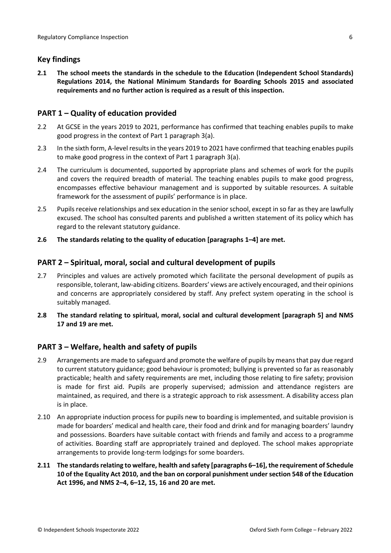### <span id="page-5-0"></span>**Key findings**

**2.1 The school meets the standards in the schedule to the Education (Independent School Standards) Regulations 2014, the National Minimum Standards for Boarding Schools 2015 and associated requirements and no further action is required as a result of this inspection.**

### <span id="page-5-1"></span>**PART 1 – Quality of education provided**

- 2.2 At GCSE in the years 2019 to 2021, performance has confirmed that teaching enables pupils to make good progress in the context of Part 1 paragraph 3(a).
- 2.3 In the sixth form, A-level results in the years 2019 to 2021 have confirmed that teaching enables pupils to make good progress in the context of Part 1 paragraph 3(a).
- 2.4 The curriculum is documented, supported by appropriate plans and schemes of work for the pupils and covers the required breadth of material. The teaching enables pupils to make good progress, encompasses effective behaviour management and is supported by suitable resources. A suitable framework for the assessment of pupils' performance is in place.
- 2.5 Pupils receive relationships and sex education in the senior school, except in so far as they are lawfully excused. The school has consulted parents and published a written statement of its policy which has regard to the relevant statutory guidance.
- **2.6 The standards relating to the quality of education [paragraphs 1–4] are met.**

### <span id="page-5-2"></span>**PART 2 – Spiritual, moral, social and cultural development of pupils**

- 2.7 Principles and values are actively promoted which facilitate the personal development of pupils as responsible, tolerant, law-abiding citizens. Boarders' views are actively encouraged, and their opinions and concerns are appropriately considered by staff. Any prefect system operating in the school is suitably managed.
- **2.8 The standard relating to spiritual, moral, social and cultural development [paragraph 5] and NMS 17 and 19 are met.**

# <span id="page-5-3"></span>**PART 3 – Welfare, health and safety of pupils**

- 2.9 Arrangements are made to safeguard and promote the welfare of pupils by means that pay due regard to current statutory guidance; good behaviour is promoted; bullying is prevented so far as reasonably practicable; health and safety requirements are met, including those relating to fire safety; provision is made for first aid. Pupils are properly supervised; admission and attendance registers are maintained, as required, and there is a strategic approach to risk assessment. A disability access plan is in place.
- 2.10 An appropriate induction process for pupils new to boarding is implemented, and suitable provision is made for boarders' medical and health care, their food and drink and for managing boarders' laundry and possessions. Boarders have suitable contact with friends and family and access to a programme of activities. Boarding staff are appropriately trained and deployed. The school makes appropriate arrangements to provide long-term lodgings for some boarders.
- **2.11 The standardsrelating to welfare, health and safety [paragraphs 6–16], the requirement of Schedule 10 of the Equality Act 2010, and the ban on corporal punishment undersection 548 of the Education Act 1996, and NMS 2–4, 6–12, 15, 16 and 20 are met.**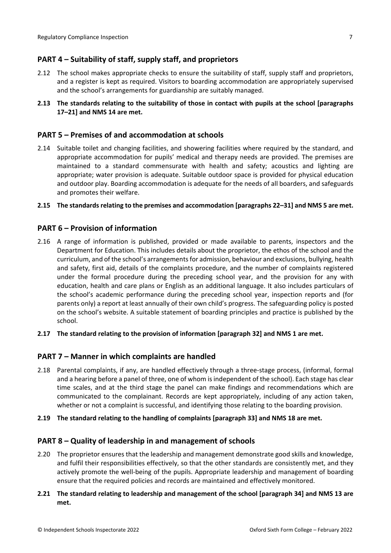# <span id="page-6-0"></span>**PART 4 – Suitability of staff, supply staff, and proprietors**

- 2.12 The school makes appropriate checks to ensure the suitability of staff, supply staff and proprietors, and a register is kept as required. Visitors to boarding accommodation are appropriately supervised and the school's arrangements for guardianship are suitably managed.
- **2.13 The standards relating to the suitability of those in contact with pupils at the school [paragraphs 17–21] and NMS 14 are met.**

#### <span id="page-6-1"></span>**PART 5 – Premises of and accommodation at schools**

2.14 Suitable toilet and changing facilities, and showering facilities where required by the standard, and appropriate accommodation for pupils' medical and therapy needs are provided. The premises are maintained to a standard commensurate with health and safety; acoustics and lighting are appropriate; water provision is adequate. Suitable outdoor space is provided for physical education and outdoor play. Boarding accommodation is adequate for the needs of all boarders, and safeguards and promotes their welfare.

#### **2.15 The standardsrelating to the premises and accommodation [paragraphs 22–31] and NMS 5 are met.**

#### <span id="page-6-2"></span>**PART 6 – Provision of information**

- 2.16 A range of information is published, provided or made available to parents, inspectors and the Department for Education. This includes details about the proprietor, the ethos of the school and the curriculum, and of the school's arrangementsfor admission, behaviour and exclusions, bullying, health and safety, first aid, details of the complaints procedure, and the number of complaints registered under the formal procedure during the preceding school year, and the provision for any with education, health and care plans or English as an additional language. It also includes particulars of the school's academic performance during the preceding school year, inspection reports and (for parents only) a report at least annually of their own child's progress. The safeguarding policy is posted on the school's website. A suitable statement of boarding principles and practice is published by the school.
- **2.17 The standard relating to the provision of information [paragraph 32] and NMS 1 are met.**

#### <span id="page-6-3"></span>**PART 7 – Manner in which complaints are handled**

- 2.18 Parental complaints, if any, are handled effectively through a three-stage process, (informal, formal and a hearing before a panel of three, one of whom is independent of the school). Each stage has clear time scales, and at the third stage the panel can make findings and recommendations which are communicated to the complainant. Records are kept appropriately, including of any action taken, whether or not a complaint is successful, and identifying those relating to the boarding provision.
- **2.19 The standard relating to the handling of complaints [paragraph 33] and NMS 18 are met.**

#### <span id="page-6-4"></span>**PART 8 – Quality of leadership in and management of schools**

- 2.20 The proprietor ensures that the leadership and management demonstrate good skills and knowledge, and fulfil their responsibilities effectively, so that the other standards are consistently met, and they actively promote the well-being of the pupils. Appropriate leadership and management of boarding ensure that the required policies and records are maintained and effectively monitored.
- **2.21 The standard relating to leadership and management of the school [paragraph 34] and NMS 13 are met.**